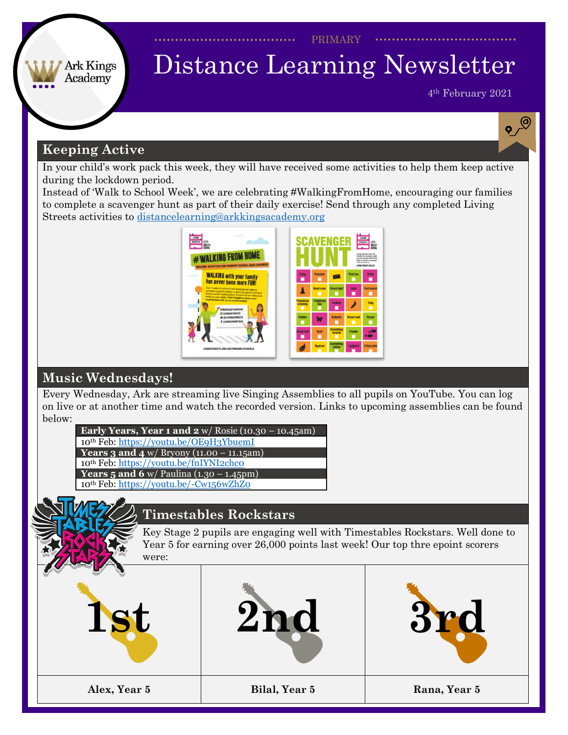PRIMARY

# Distance Learning Newsletter

4th February 2021

 $\sqrt{\frac{1}{2}}$ 

## **Keeping Active**

**Ark Kings** Academy

In your child's work pack this week, they will have received some activities to help them keep active during the lockdown period.

Instead of 'Walk to School Week', we are celebrating #WalkingFromHome, encouraging our families to complete a scavenger hunt as part of their daily exercise! Send through any completed Living Streets activities to [distancelearning@arkkingsacademy.org](mailto:distancelearning@arkkingsacademy.org)



## **Music Wednesdays!**

Every Wednesday, Ark are streaming live Singing Assemblies to all pupils on YouTube. You can log on live or at another time and watch the recorded version. Links to upcoming assemblies can be found below:

| Early Years, Year 1 and $2 \frac{w}{\text{Rosie}} (10.30 - 10.45 \text{am})$ |
|------------------------------------------------------------------------------|
| 10th Feb: https://voutu.be/OE9H3YbuemI                                       |
| <b>Years 3 and 4</b> w/ Bryony $(11.00 - 11.15am)$                           |
| 10th Feb: https://youtu.be/fnIYNI2chco                                       |
| <b>Years 5 and 6</b> w/ Paulina $(1.30 - 1.45)$ pm)                          |
| 10th Feb: https://youtu.be/-Cw156wZhZ0                                       |
|                                                                              |

## **Timestables Rockstars**

Key Stage 2 pupils are engaging well with Timestables Rockstars. Well done to Year 5 for earning over 26,000 points last week! Our top thre epoint scorers were: